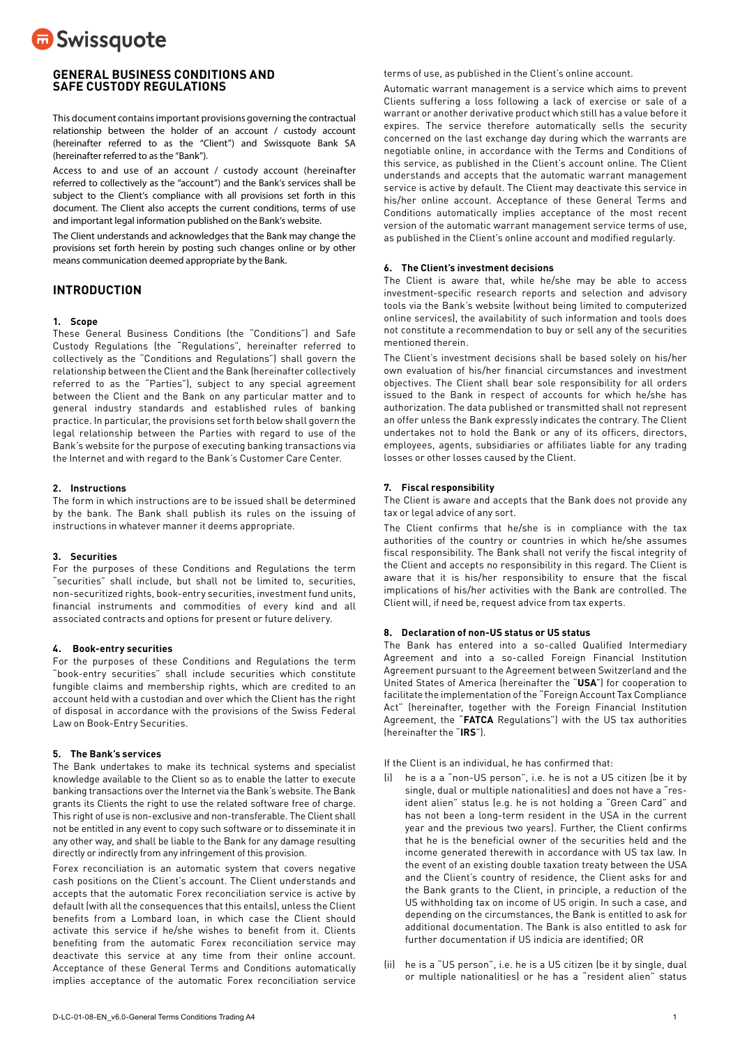

# **GENERAL BUSINESS CONDITIONS AND SAFE CUSTODY REGULATIONS**

This document contains important provisions governing the contractual relationship between the holder of an account / custody account (hereinafter referred to as the "Client") and Swissquote Bank SA (hereinafter referred to as the "Bank").

Access to and use of an account / custody account (hereinafter referred to collectively as the "account") and the Bank's services shall be subject to the Client's compliance with all provisions set forth in this document. The Client also accepts the current conditions, terms of use and important legal information published on the Bank's website.

The Client understands and acknowledges that the Bank may change the provisions set forth herein by posting such changes online or by other means communication deemed appropriate by the Bank.

# **INTRODUCTION**

# **1. Scope**

These General Business Conditions (the "Conditions") and Safe Custody Regulations (the "Regulations", hereinafter referred to collectively as the "Conditions and Regulations") shall govern the relationship between the Client and the Bank (hereinafter collectively referred to as the "Parties"), subject to any special agreement between the Client and the Bank on any particular matter and to general industry standards and established rules of banking practice. In particular, the provisions set forth below shall govern the legal relationship between the Parties with regard to use of the Bank's website for the purpose of executing banking transactions via the Internet and with regard to the Bank's Customer Care Center.

#### **2. Instructions**

The form in which instructions are to be issued shall be determined by the bank. The Bank shall publish its rules on the issuing of instructions in whatever manner it deems appropriate.

### **3. Securities**

For the purposes of these Conditions and Regulations the term "securities" shall include, but shall not be limited to, securities, non-securitized rights, book-entry securities, investment fund units, financial instruments and commodities of every kind and all associated contracts and options for present or future delivery.

#### **4. Book-entry securities**

For the purposes of these Conditions and Regulations the term "book-entry securities" shall include securities which constitute fungible claims and membership rights, which are credited to an account held with a custodian and over which the Client has the right of disposal in accordance with the provisions of the Swiss Federal Law on Book-Entry Securities.

#### **5. The Bank's services**

The Bank undertakes to make its technical systems and specialist knowledge available to the Client so as to enable the latter to execute banking transactions over the Internet via the Bank's website. The Bank grants its Clients the right to use the related software free of charge. This right of use is non-exclusive and non-transferable. The Client shall not be entitled in any event to copy such software or to disseminate it in any other way, and shall be liable to the Bank for any damage resulting directly or indirectly from any infringement of this provision.

Forex reconciliation is an automatic system that covers negative cash positions on the Client's account. The Client understands and accepts that the automatic Forex reconciliation service is active by default (with all the consequences that this entails), unless the Client benefits from a Lombard loan, in which case the Client should activate this service if he/she wishes to benefit from it. Clients benefiting from the automatic Forex reconciliation service may deactivate this service at any time from their online account. Acceptance of these General Terms and Conditions automatically implies acceptance of the automatic Forex reconciliation service

terms of use, as published in the Client's online account.

Automatic warrant management is a service which aims to prevent Clients suffering a loss following a lack of exercise or sale of a warrant or another derivative product which still has a value before it expires. The service therefore automatically sells the security concerned on the last exchange day during which the warrants are negotiable online, in accordance with the Terms and Conditions of this service, as published in the Client's account online. The Client understands and accepts that the automatic warrant management service is active by default. The Client may deactivate this service in his/her online account. Acceptance of these General Terms and Conditions automatically implies acceptance of the most recent version of the automatic warrant management service terms of use, as published in the Client's online account and modified regularly.

# **6. The Client's investment decisions**

The Client is aware that, while he/she may be able to access investment-specific research reports and selection and advisory tools via the Bank's website (without being limited to computerized online services), the availability of such information and tools does not constitute a recommendation to buy or sell any of the securities mentioned therein.

The Client's investment decisions shall be based solely on his/her own evaluation of his/her financial circumstances and investment objectives. The Client shall bear sole responsibility for all orders issued to the Bank in respect of accounts for which he/she has authorization. The data published or transmitted shall not represent an offer unless the Bank expressly indicates the contrary. The Client undertakes not to hold the Bank or any of its officers, directors, employees, agents, subsidiaries or affiliates liable for any trading losses or other losses caused by the Client.

#### **7. Fiscal responsibility**

The Client is aware and accepts that the Bank does not provide any tax or legal advice of any sort.

The Client confirms that he/she is in compliance with the tax authorities of the country or countries in which he/she assumes fiscal responsibility. The Bank shall not verify the fiscal integrity of the Client and accepts no responsibility in this regard. The Client is aware that it is his/her responsibility to ensure that the fiscal implications of his/her activities with the Bank are controlled. The Client will, if need be, request advice from tax experts.

# **8. Declaration of non-US status or US status**

The Bank has entered into a so-called Qualified Intermediary Agreement and into a so-called Foreign Financial Institution Agreement pursuant to the Agreement between Switzerland and the United States of America (hereinafter the "**USA**") for cooperation to facilitate the implementation of the "Foreign Account Tax Compliance Act" (hereinafter, together with the Foreign Financial Institution Agreement, the "**FATCA** Regulations") with the US tax authorities (hereinafter the "**IRS**").

If the Client is an individual, he has confirmed that:

- he is a a "non-US person", i.e. he is not a US citizen (be it by single, dual or multiple nationalities) and does not have a "resident alien" status (e.g. he is not holding a "Green Card" and has not been a long-term resident in the USA in the current year and the previous two years). Further, the Client confirms that he is the beneficial owner of the securities held and the income generated therewith in accordance with US tax law. In the event of an existing double taxation treaty between the USA and the Client's country of residence, the Client asks for and the Bank grants to the Client, in principle, a reduction of the US withholding tax on income of US origin. In such a case, and depending on the circumstances, the Bank is entitled to ask for additional documentation. The Bank is also entitled to ask for further documentation if US indicia are identified; OR
- (ii) he is a "US person", i.e. he is a US citizen (be it by single, dual or multiple nationalities) or he has a "resident alien" status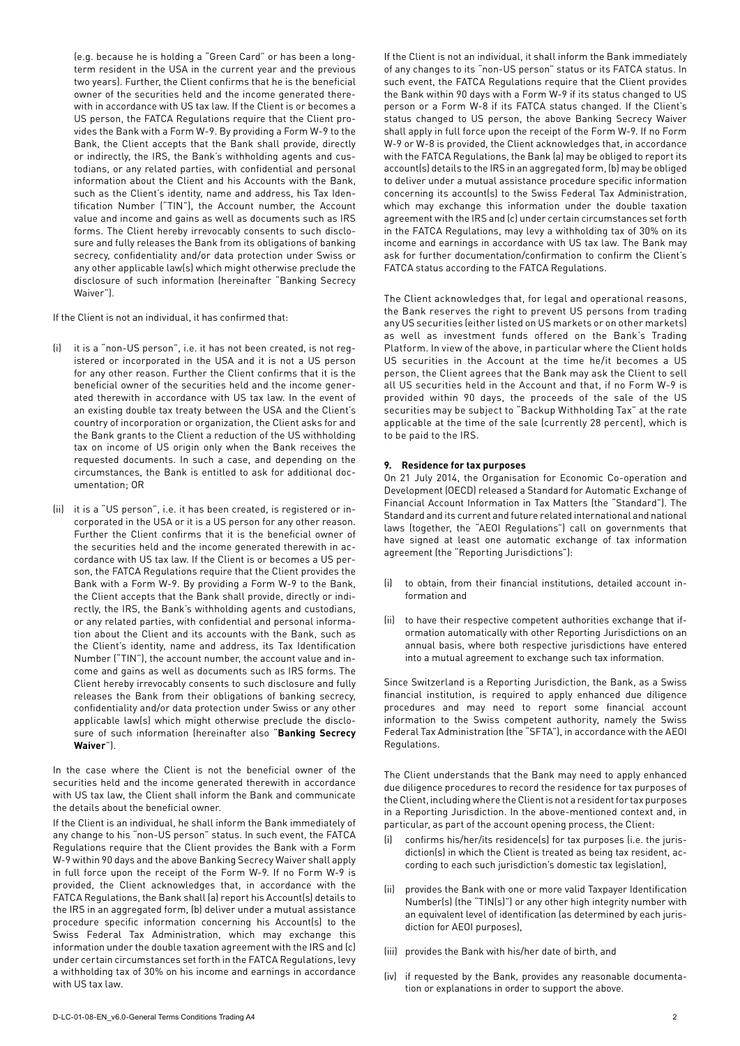<span id="page-1-0"></span>(e.g. because he is holding a "Green Card" or has been a longterm resident in the USA in the current year and the previous two years). Further, the Client confirms that he is the beneficial owner of the securities held and the income generated therewith in accordance with US tax law. If the Client is or becomes a US person, the FATCA Regulations require that the Client provides the Bank with a Form W-9. By providing a Form W-9 to the Bank, the Client accepts that the Bank shall provide, directly or indirectly, the IRS, the Bank's withholding agents and custodians, or any related parties, with confidential and personal information about the Client and his Accounts with the Bank, such as the Client's identity, name and address, his Tax Identification Number ("TIN"), the Account number, the Account value and income and gains as well as documents such as IRS forms. The Client hereby irrevocably consents to such disclosure and fully releases the Bank from its obligations of banking secrecy, confidentiality and/or data protection under Swiss or any other applicable law(s) which might otherwise preclude the disclosure of such information (hereinafter "Banking Secrecy Waiver").

If the Client is not an individual, it has confirmed that:

- (i) it is a "non-US person", i.e. it has not been created, is not registered or incorporated in the USA and it is not a US person for any other reason. Further the Client confirms that it is the beneficial owner of the securities held and the income generated therewith in accordance with US tax law. In the event of an existing double tax treaty between the USA and the Client's country of incorporation or organization, the Client asks for and the Bank grants to the Client a reduction of the US withholding tax on income of US origin only when the Bank receives the requested documents. In such a case, and depending on the circumstances, the Bank is entitled to ask for additional documentation; OR
- (ii) it is a "US person", i.e. it has been created, is registered or incorporated in the USA or it is a US person for any other reason. Further the Client confirms that it is the beneficial owner of the securities held and the income generated therewith in accordance with US tax law. If the Client is or becomes a US person, the FATCA Regulations require that the Client provides the Bank with a Form W-9. By providing a Form W-9 to the Bank, the Client accepts that the Bank shall provide, directly or indirectly, the IRS, the Bank's withholding agents and custodians, or any related parties, with confidential and personal information about the Client and its accounts with the Bank, such as the Client's identity, name and address, its Tax Identification Number ("TIN"), the account number, the account value and income and gains as well as documents such as IRS forms. The Client hereby irrevocably consents to such disclosure and fully releases the Bank from their obligations of banking secrecy, confidentiality and/or data protection under Swiss or any other applicable law(s) which might otherwise preclude the disclosure of such information (hereinafter also "**Banking Secrecy Waiver**").

In the case where the Client is not the beneficial owner of the securities held and the income generated therewith in accordance with US tax law, the Client shall inform the Bank and communicate the details about the beneficial owner.

If the Client is an individual, he shall inform the Bank immediately of any change to his "non-US person" status. In such event, the FATCA Regulations require that the Client provides the Bank with a Form W-9 within 90 days and the above Banking Secrecy Waiver shall apply in full force upon the receipt of the Form W-9. If no Form W-9 is provided, the Client acknowledges that, in accordance with the FATCA Regulations, the Bank shall (a) report his Account(s) details to the IRS in an aggregated form, (b) deliver under a mutual assistance procedure specific information concerning his Account(s) to the Swiss Federal Tax Administration, which may exchange this information under the double taxation agreement with the IRS and (c) under certain circumstances set forth in the FATCA Regulations, levy a withholding tax of 30% on his income and earnings in accordance with US tax law.

If the Client is not an individual, it shall inform the Bank immediately of any changes to its "non-US person" status or its FATCA status. In such event, the FATCA Regulations require that the Client provides the Bank within 90 days with a Form W-9 if its status changed to US person or a Form W-8 if its FATCA status changed. If the Client's status changed to US person, the above Banking Secrecy Waiver shall apply in full force upon the receipt of the Form W-9. If no Form W-9 or W-8 is provided, the Client acknowledges that, in accordance with the FATCA Regulations, the Bank (a) may be obliged to report its account(s) details to the IRS in an aggregated form, (b) may be obliged to deliver under a mutual assistance procedure specific information concerning its account(s) to the Swiss Federal Tax Administration, which may exchange this information under the double taxation agreement with the IRS and (c) under certain circumstances set forth in the FATCA Regulations, may levy a withholding tax of 30% on its income and earnings in accordance with US tax law. The Bank may ask for further documentation/confirmation to confirm the Client's FATCA status according to the FATCA Regulations.

The Client acknowledges that, for legal and operational reasons, the Bank reserves the right to prevent US persons from trading any US securities (either listed on US markets or on other markets) as well as investment funds offered on the Bank's Trading Platform. In view of the above, in particular where the Client holds US securities in the Account at the time he/it becomes a US person, the Client agrees that the Bank may ask the Client to sell all US securities held in the Account and that, if no Form W-9 is provided within 90 days, the proceeds of the sale of the US securities may be subject to "Backup Withholding Tax" at the rate applicable at the time of the sale (currently 28 percent), which is to be paid to the IRS.

### **9. Residence for tax purposes**

On 21 July 2014, the Organisation for Economic Co-operation and Development (OECD) released a Standard for Automatic Exchange of Financial Account Information in Tax Matters (the "Standard"). The Standard and its current and future related international and national laws (together, the "AEOI Regulations") call on governments that have signed at least one automatic exchange of tax information agreement (the "Reporting Jurisdictions"):

- (i) to obtain, from their financial institutions, detailed account information and
- (ii) to have their respective competent authorities exchange that iformation automatically with other Reporting Jurisdictions on an annual basis, where both respective jurisdictions have entered into a mutual agreement to exchange such tax information.

Since Switzerland is a Reporting Jurisdiction, the Bank, as a Swiss financial institution, is required to apply enhanced due diligence procedures and may need to report some financial account information to the Swiss competent authority, namely the Swiss Federal Tax Administration (the "SFTA"), in accordance with the AEOI Regulations.

The Client understands that the Bank may need to apply enhanced due diligence procedures to record the residence for tax purposes of the Client, including where the Client is not a resident for tax purposes in a Reporting Jurisdiction. In the above-mentioned context and, in particular, as part of the account opening process, the Client:

- confirms his/her/its residence(s) for tax purposes (i.e. the jurisdiction(s) in which the Client is treated as being tax resident, according to each such jurisdiction's domestic tax legislation),
- provides the Bank with one or more valid Taxpayer Identification Number(s) (the "TIN(s)") or any other high integrity number with an equivalent level of identification (as determined by each jurisdiction for AEOI purposes),
- (iii) provides the Bank with his/her date of birth, and
- (iv) if requested by the Bank, provides any reasonable documentation or explanations in order to support the above.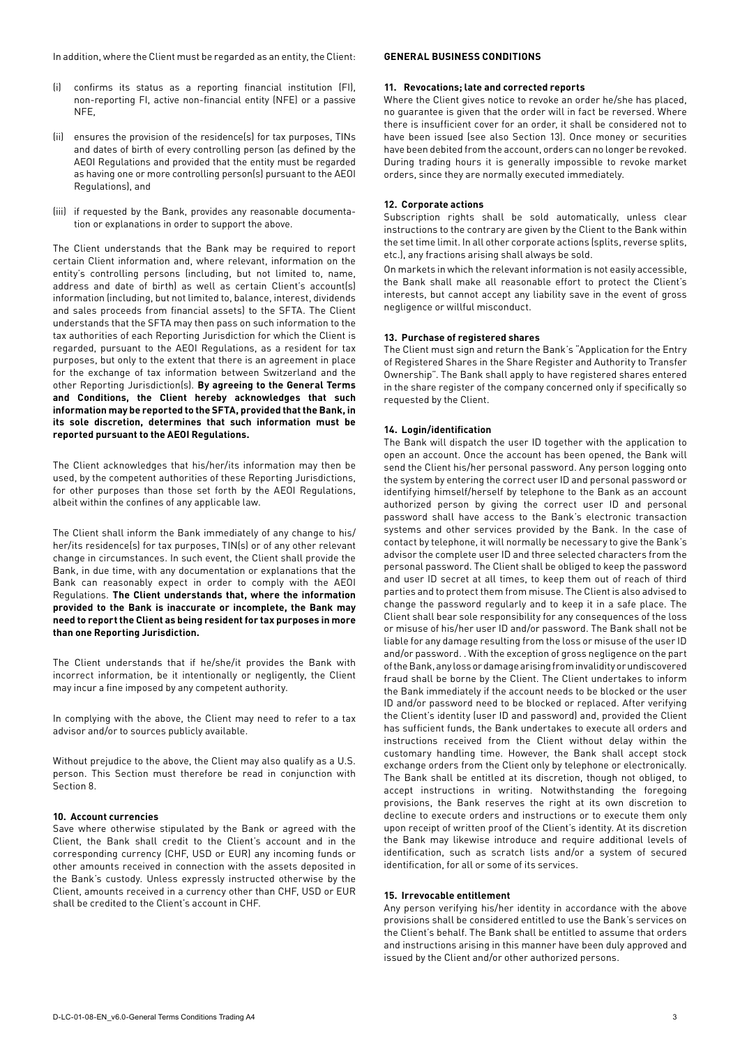In addition, where the Client must be regarded as an entity, the Client:

- (i) confirms its status as a reporting financial institution (FI), non-reporting FI, active non-financial entity (NFE) or a passive NFE,
- (ii) ensures the provision of the residence(s) for tax purposes, TINs and dates of birth of every controlling person (as defined by the AEOI Regulations and provided that the entity must be regarded as having one or more controlling person(s) pursuant to the AEOI Regulations), and
- (iii) if requested by the Bank, provides any reasonable documentation or explanations in order to support the above.

The Client understands that the Bank may be required to report certain Client information and, where relevant, information on the entity's controlling persons (including, but not limited to, name, address and date of birth) as well as certain Client's account(s) information (including, but not limited to, balance, interest, dividends and sales proceeds from financial assets) to the SFTA. The Client understands that the SFTA may then pass on such information to the tax authorities of each Reporting Jurisdiction for which the Client is regarded, pursuant to the AEOI Regulations, as a resident for tax purposes, but only to the extent that there is an agreement in place for the exchange of tax information between Switzerland and the other Reporting Jurisdiction(s). **By agreeing to the General Terms and Conditions, the Client hereby acknowledges that such information may be reported to the SFTA, provided that the Bank, in its sole discretion, determines that such information must be reported pursuant to the AEOI Regulations.** 

The Client acknowledges that his/her/its information may then be used, by the competent authorities of these Reporting Jurisdictions, for other purposes than those set forth by the AEOI Regulations, albeit within the confines of any applicable law.

The Client shall inform the Bank immediately of any change to his/ her/its residence(s) for tax purposes, TIN(s) or of any other relevant change in circumstances. In such event, the Client shall provide the Bank, in due time, with any documentation or explanations that the Bank can reasonably expect in order to comply with the AEOI Regulations. **The Client understands that, where the information provided to the Bank is inaccurate or incomplete, the Bank may need to report the Client as being resident for tax purposes in more than one Reporting Jurisdiction.** 

The Client understands that if he/she/it provides the Bank with incorrect information, be it intentionally or negligently, the Client may incur a fine imposed by any competent authority.

In complying with the above, the Client may need to refer to a tax advisor and/or to sources publicly available.

Without prejudice to the above, the Client may also qualify as a U.S. person. This Section must therefore be read in conjunction with [Section 8.](#page-1-0)

### **10. Account currencies**

Save where otherwise stipulated by the Bank or agreed with the Client, the Bank shall credit to the Client's account and in the corresponding currency (CHF, USD or EUR) any incoming funds or other amounts received in connection with the assets deposited in the Bank's custody. Unless expressly instructed otherwise by the Client, amounts received in a currency other than CHF, USD or EUR shall be credited to the Client's account in CHF.

# **GENERAL BUSINESS CONDITIONS**

## **11. Revocations; late and corrected reports**

Where the Client gives notice to revoke an order he/she has placed, no guarantee is given that the order will in fact be reversed. Where there is insufficient cover for an order, it shall be considered not to have been issued (see also Section 13). Once money or securities have been debited from the account, orders can no longer be revoked. During trading hours it is generally impossible to revoke market orders, since they are normally executed immediately.

#### **12. Corporate actions**

Subscription rights shall be sold automatically, unless clear instructions to the contrary are given by the Client to the Bank within the set time limit. In all other corporate actions (splits, reverse splits, etc.), any fractions arising shall always be sold.

On markets in which the relevant information is not easily accessible, the Bank shall make all reasonable effort to protect the Client's interests, but cannot accept any liability save in the event of gross negligence or willful misconduct.

#### **13. Purchase of registered shares**

The Client must sign and return the Bank's "Application for the Entry of Registered Shares in the Share Register and Authority to Transfer Ownership". The Bank shall apply to have registered shares entered in the share register of the company concerned only if specifically so requested by the Client.

## **14. Login/identification**

The Bank will dispatch the user ID together with the application to open an account. Once the account has been opened, the Bank will send the Client his/her personal password. Any person logging onto the system by entering the correct user ID and personal password or identifying himself/herself by telephone to the Bank as an account authorized person by giving the correct user ID and personal password shall have access to the Bank's electronic transaction systems and other services provided by the Bank. In the case of contact by telephone, it will normally be necessary to give the Bank's advisor the complete user ID and three selected characters from the personal password. The Client shall be obliged to keep the password and user ID secret at all times, to keep them out of reach of third parties and to protect them from misuse. The Client is also advised to change the password regularly and to keep it in a safe place. The Client shall bear sole responsibility for any consequences of the loss or misuse of his/her user ID and/or password. The Bank shall not be liable for any damage resulting from the loss or misuse of the user ID and/or password. . With the exception of gross negligence on the part of the Bank, any loss or damage arising from invalidity or undiscovered fraud shall be borne by the Client. The Client undertakes to inform the Bank immediately if the account needs to be blocked or the user ID and/or password need to be blocked or replaced. After verifying the Client's identity (user ID and password) and, provided the Client has sufficient funds, the Bank undertakes to execute all orders and instructions received from the Client without delay within the customary handling time. However, the Bank shall accept stock exchange orders from the Client only by telephone or electronically. The Bank shall be entitled at its discretion, though not obliged, to accept instructions in writing. Notwithstanding the foregoing provisions, the Bank reserves the right at its own discretion to decline to execute orders and instructions or to execute them only upon receipt of written proof of the Client's identity. At its discretion the Bank may likewise introduce and require additional levels of identification, such as scratch lists and/or a system of secured identification, for all or some of its services.

#### **15. Irrevocable entitlement**

Any person verifying his/her identity in accordance with the above provisions shall be considered entitled to use the Bank's services on the Client's behalf. The Bank shall be entitled to assume that orders and instructions arising in this manner have been duly approved and issued by the Client and/or other authorized persons.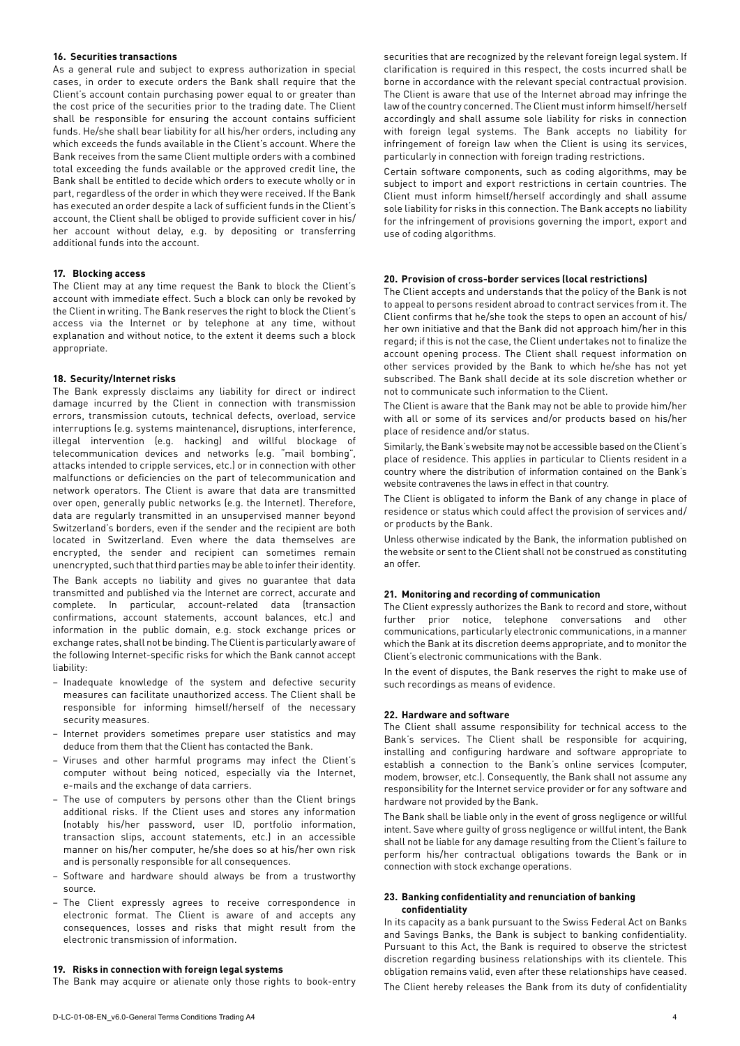#### **16. Securities transactions**

As a general rule and subject to express authorization in special cases, in order to execute orders the Bank shall require that the Client's account contain purchasing power equal to or greater than the cost price of the securities prior to the trading date. The Client shall be responsible for ensuring the account contains sufficient funds. He/she shall bear liability for all his/her orders, including any which exceeds the funds available in the Client's account. Where the Bank receives from the same Client multiple orders with a combined total exceeding the funds available or the approved credit line, the Bank shall be entitled to decide which orders to execute wholly or in part, regardless of the order in which they were received. If the Bank has executed an order despite a lack of sufficient funds in the Client's account, the Client shall be obliged to provide sufficient cover in his/ her account without delay, e.g. by depositing or transferring additional funds into the account.

#### **17. Blocking access**

The Client may at any time request the Bank to block the Client's account with immediate effect. Such a block can only be revoked by the Client in writing. The Bank reserves the right to block the Client's access via the Internet or by telephone at any time, without explanation and without notice, to the extent it deems such a block appropriate.

## **18. Security/Internet risks**

The Bank expressly disclaims any liability for direct or indirect damage incurred by the Client in connection with transmission errors, transmission cutouts, technical defects, overload, service interruptions (e.g. systems maintenance), disruptions, interference, illegal intervention (e.g. hacking) and willful blockage of telecommunication devices and networks (e.g. "mail bombing", attacks intended to cripple services, etc.) or in connection with other malfunctions or deficiencies on the part of telecommunication and network operators. The Client is aware that data are transmitted over open, generally public networks (e.g. the Internet). Therefore, data are regularly transmitted in an unsupervised manner beyond Switzerland's borders, even if the sender and the recipient are both located in Switzerland. Even where the data themselves are encrypted, the sender and recipient can sometimes remain unencrypted, such that third parties may be able to infer their identity. The Bank accepts no liability and gives no guarantee that data transmitted and published via the Internet are correct, accurate and complete. In particular, account-related data (transaction confirmations, account statements, account balances, etc.) and information in the public domain, e.g. stock exchange prices or exchange rates, shall not be binding. The Client is particularly aware of the following Internet-specific risks for which the Bank cannot accept liability:

- Inadequate knowledge of the system and defective security measures can facilitate unauthorized access. The Client shall be responsible for informing himself/herself of the necessary security measures.
- Internet providers sometimes prepare user statistics and may deduce from them that the Client has contacted the Bank.
- Viruses and other harmful programs may infect the Client's computer without being noticed, especially via the Internet, e-mails and the exchange of data carriers.
- The use of computers by persons other than the Client brings additional risks. If the Client uses and stores any information (notably his/her password, user ID, portfolio information, transaction slips, account statements, etc.) in an accessible manner on his/her computer, he/she does so at his/her own risk and is personally responsible for all consequences.
- Software and hardware should always be from a trustworthy source.
- The Client expressly agrees to receive correspondence in electronic format. The Client is aware of and accepts any consequences, losses and risks that might result from the electronic transmission of information.

# **19. Risks in connection with foreign legal systems**

The Bank may acquire or alienate only those rights to book-entry

securities that are recognized by the relevant foreign legal system. If clarification is required in this respect, the costs incurred shall be borne in accordance with the relevant special contractual provision. The Client is aware that use of the Internet abroad may infringe the law of the country concerned. The Client must inform himself/herself accordingly and shall assume sole liability for risks in connection with foreign legal systems. The Bank accepts no liability for infringement of foreign law when the Client is using its services, particularly in connection with foreign trading restrictions.

Certain software components, such as coding algorithms, may be subject to import and export restrictions in certain countries. The Client must inform himself/herself accordingly and shall assume sole liability for risks in this connection. The Bank accepts no liability for the infringement of provisions governing the import, export and use of coding algorithms.

# **20. Provision of cross-border services (local restrictions)**

The Client accepts and understands that the policy of the Bank is not to appeal to persons resident abroad to contract services from it. The Client confirms that he/she took the steps to open an account of his/ her own initiative and that the Bank did not approach him/her in this regard; if this is not the case, the Client undertakes not to finalize the account opening process. The Client shall request information on other services provided by the Bank to which he/she has not yet subscribed. The Bank shall decide at its sole discretion whether or not to communicate such information to the Client.

The Client is aware that the Bank may not be able to provide him/her with all or some of its services and/or products based on his/her place of residence and/or status.

Similarly, the Bank's website may not be accessible based on the Client's place of residence. This applies in particular to Clients resident in a country where the distribution of information contained on the Bank's website contravenes the laws in effect in that country.

The Client is obligated to inform the Bank of any change in place of residence or status which could affect the provision of services and/ or products by the Bank.

Unless otherwise indicated by the Bank, the information published on the website or sent to the Client shall not be construed as constituting an offer.

# **21. Monitoring and recording of communication**

The Client expressly authorizes the Bank to record and store, without further prior notice, telephone conversations and other communications, particularly electronic communications, in a manner which the Bank at its discretion deems appropriate, and to monitor the Client's electronic communications with the Bank.

In the event of disputes, the Bank reserves the right to make use of such recordings as means of evidence.

# **22. Hardware and software**

The Client shall assume responsibility for technical access to the Bank's services. The Client shall be responsible for acquiring, installing and configuring hardware and software appropriate to establish a connection to the Bank's online services (computer, modem, browser, etc.). Consequently, the Bank shall not assume any responsibility for the Internet service provider or for any software and hardware not provided by the Bank.

The Bank shall be liable only in the event of gross negligence or willful intent. Save where guilty of gross negligence or willful intent, the Bank shall not be liable for any damage resulting from the Client's failure to perform his/her contractual obligations towards the Bank or in connection with stock exchange operations.

## **23. Banking confidentiality and renunciation of banking confidentiality**

In its capacity as a bank pursuant to the Swiss Federal Act on Banks and Savings Banks, the Bank is subject to banking confidentiality. Pursuant to this Act, the Bank is required to observe the strictest discretion regarding business relationships with its clientele. This obligation remains valid, even after these relationships have ceased. The Client hereby releases the Bank from its duty of confidentiality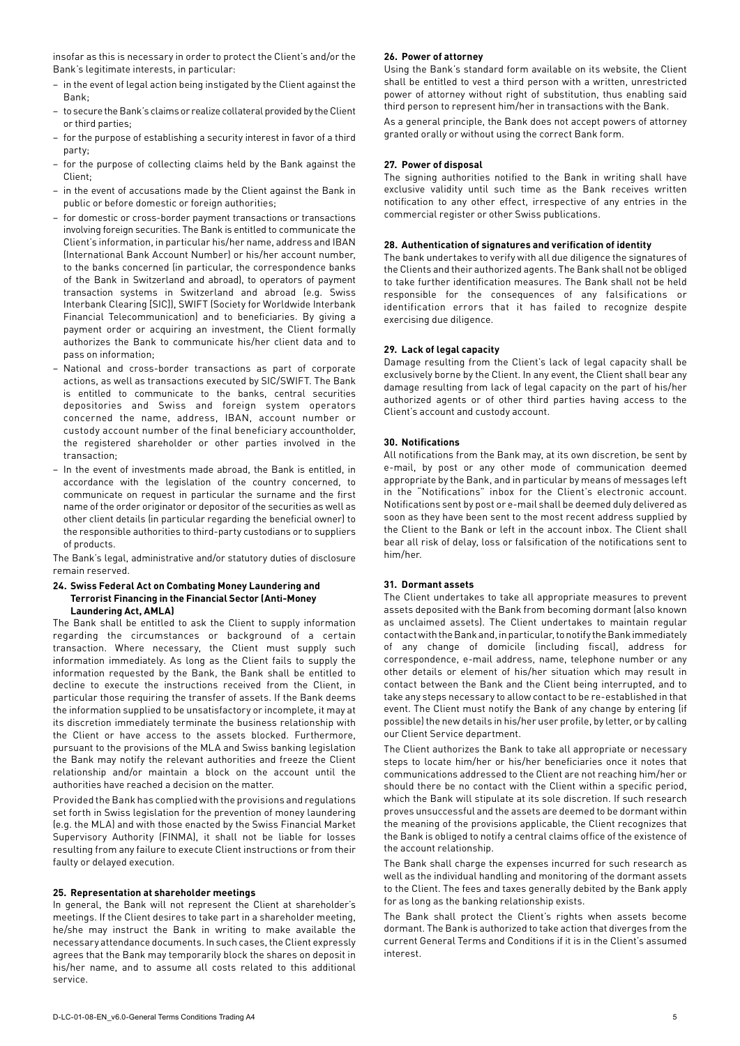insofar as this is necessary in order to protect the Client's and/or the Bank's legitimate interests, in particular:

- in the event of legal action being instigated by the Client against the Bank;
- to secure the Bank's claims or realize collateral provided by the Client or third parties;
- for the purpose of establishing a security interest in favor of a third party;
- for the purpose of collecting claims held by the Bank against the Client;
- in the event of accusations made by the Client against the Bank in public or before domestic or foreign authorities;
- for domestic or cross-border payment transactions or transactions involving foreign securities. The Bank is entitled to communicate the Client's information, in particular his/her name, address and IBAN (International Bank Account Number) or his/her account number, to the banks concerned (in particular, the correspondence banks of the Bank in Switzerland and abroad), to operators of payment transaction systems in Switzerland and abroad (e.g. Swiss Interbank Clearing [SIC]), SWIFT (Society for Worldwide Interbank Financial Telecommunication) and to beneficiaries. By giving a payment order or acquiring an investment, the Client formally authorizes the Bank to communicate his/her client data and to pass on information;
- National and cross-border transactions as part of corporate actions, as well as transactions executed by SIC/SWIFT. The Bank is entitled to communicate to the banks, central securities depositories and Swiss and foreign system operators concerned the name, address, IBAN, account number or custody account number of the final beneficiary accountholder, the registered shareholder or other parties involved in the transaction;
- In the event of investments made abroad, the Bank is entitled, in accordance with the legislation of the country concerned, to communicate on request in particular the surname and the first name of the order originator or depositor of the securities as well as other client details (in particular regarding the beneficial owner) to the responsible authorities to third-party custodians or to suppliers of products.

The Bank's legal, administrative and/or statutory duties of disclosure remain reserved.

#### **24. Swiss Federal Act on Combating Money Laundering and Terrorist Financing in the Financial Sector (Anti-Money Laundering Act, AMLA)**

The Bank shall be entitled to ask the Client to supply information regarding the circumstances or background of a certain transaction. Where necessary, the Client must supply such information immediately. As long as the Client fails to supply the information requested by the Bank, the Bank shall be entitled to decline to execute the instructions received from the Client, in particular those requiring the transfer of assets. If the Bank deems the information supplied to be unsatisfactory or incomplete, it may at its discretion immediately terminate the business relationship with the Client or have access to the assets blocked. Furthermore, pursuant to the provisions of the MLA and Swiss banking legislation the Bank may notify the relevant authorities and freeze the Client relationship and/or maintain a block on the account until the authorities have reached a decision on the matter.

Provided the Bank has complied with the provisions and regulations set forth in Swiss legislation for the prevention of money laundering (e.g. the MLA) and with those enacted by the Swiss Financial Market Supervisory Authority (FINMA), it shall not be liable for losses resulting from any failure to execute Client instructions or from their faulty or delayed execution.

## **25. Representation at shareholder meetings**

In general, the Bank will not represent the Client at shareholder's meetings. If the Client desires to take part in a shareholder meeting, he/she may instruct the Bank in writing to make available the necessary attendance documents. In such cases, the Client expressly agrees that the Bank may temporarily block the shares on deposit in his/her name, and to assume all costs related to this additional service.

## **26. Power of attorney**

Using the Bank's standard form available on its website, the Client shall be entitled to vest a third person with a written, unrestricted power of attorney without right of substitution, thus enabling said third person to represent him/her in transactions with the Bank.

As a general principle, the Bank does not accept powers of attorney granted orally or without using the correct Bank form.

# **27. Power of disposal**

The signing authorities notified to the Bank in writing shall have exclusive validity until such time as the Bank receives written notification to any other effect, irrespective of any entries in the commercial register or other Swiss publications.

## **28. Authentication of signatures and verification of identity**

The bank undertakes to verify with all due diligence the signatures of the Clients and their authorized agents. The Bank shall not be obliged to take further identification measures. The Bank shall not be held responsible for the consequences of any falsifications or identification errors that it has failed to recognize despite exercising due diligence.

# **29. Lack of legal capacity**

Damage resulting from the Client's lack of legal capacity shall be exclusively borne by the Client. In any event, the Client shall bear any damage resulting from lack of legal capacity on the part of his/her authorized agents or of other third parties having access to the Client's account and custody account.

# **30. Notifications**

All notifications from the Bank may, at its own discretion, be sent by e-mail, by post or any other mode of communication deemed appropriate by the Bank, and in particular by means of messages left in the "Notifications" inbox for the Client's electronic account. Notifications sent by post or e-mail shall be deemed duly delivered as soon as they have been sent to the most recent address supplied by the Client to the Bank or left in the account inbox. The Client shall bear all risk of delay, loss or falsification of the notifications sent to him/her.

### **31. Dormant assets**

The Client undertakes to take all appropriate measures to prevent assets deposited with the Bank from becoming dormant (also known as unclaimed assets). The Client undertakes to maintain regular contact with the Bank and, in particular, to notify the Bank immediately of any change of domicile (including fiscal), address for correspondence, e-mail address, name, telephone number or any other details or element of his/her situation which may result in contact between the Bank and the Client being interrupted, and to take any steps necessary to allow contact to be re-established in that event. The Client must notify the Bank of any change by entering (if possible) the new details in his/her user profile, by letter, or by calling our Client Service department.

The Client authorizes the Bank to take all appropriate or necessary steps to locate him/her or his/her beneficiaries once it notes that communications addressed to the Client are not reaching him/her or should there be no contact with the Client within a specific period, which the Bank will stipulate at its sole discretion. If such research proves unsuccessful and the assets are deemed to be dormant within the meaning of the provisions applicable, the Client recognizes that the Bank is obliged to notify a central claims office of the existence of the account relationship.

The Bank shall charge the expenses incurred for such research as well as the individual handling and monitoring of the dormant assets to the Client. The fees and taxes generally debited by the Bank apply for as long as the banking relationship exists.

The Bank shall protect the Client's rights when assets become dormant. The Bank is authorized to take action that diverges from the current General Terms and Conditions if it is in the Client's assumed interest.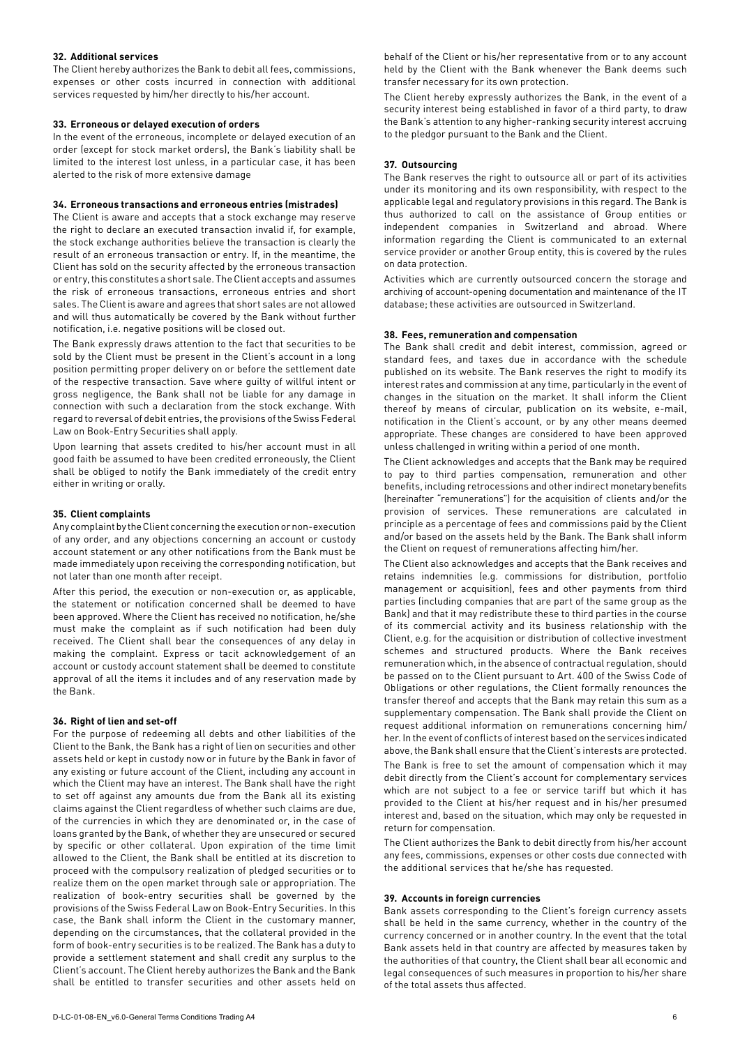#### **32. Additional services**

The Client hereby authorizes the Bank to debit all fees, commissions, expenses or other costs incurred in connection with additional services requested by him/her directly to his/her account.

#### **33. Erroneous or delayed execution of orders**

In the event of the erroneous, incomplete or delayed execution of an order (except for stock market orders), the Bank's liability shall be limited to the interest lost unless, in a particular case, it has been alerted to the risk of more extensive damage

#### **34. Erroneous transactions and erroneous entries (mistrades)**

The Client is aware and accepts that a stock exchange may reserve the right to declare an executed transaction invalid if, for example, the stock exchange authorities believe the transaction is clearly the result of an erroneous transaction or entry. If, in the meantime, the Client has sold on the security affected by the erroneous transaction or entry, this constitutes a short sale. The Client accepts and assumes the risk of erroneous transactions, erroneous entries and short sales. The Client is aware and agrees that short sales are not allowed and will thus automatically be covered by the Bank without further notification, i.e. negative positions will be closed out.

The Bank expressly draws attention to the fact that securities to be sold by the Client must be present in the Client's account in a long position permitting proper delivery on or before the settlement date of the respective transaction. Save where guilty of willful intent or gross negligence, the Bank shall not be liable for any damage in connection with such a declaration from the stock exchange. With regard to reversal of debit entries, the provisions of the Swiss Federal Law on Book-Entry Securities shall apply.

Upon learning that assets credited to his/her account must in all good faith be assumed to have been credited erroneously, the Client shall be obliged to notify the Bank immediately of the credit entry either in writing or orally.

#### **35. Client complaints**

Any complaint by the Client concerning the execution or non-execution of any order, and any objections concerning an account or custody account statement or any other notifications from the Bank must be made immediately upon receiving the corresponding notification, but not later than one month after receipt.

After this period, the execution or non-execution or, as applicable, the statement or notification concerned shall be deemed to have been approved. Where the Client has received no notification, he/she must make the complaint as if such notification had been duly received. The Client shall bear the consequences of any delay in making the complaint. Express or tacit acknowledgement of an account or custody account statement shall be deemed to constitute approval of all the items it includes and of any reservation made by the Bank.

### **36. Right of lien and set-off**

For the purpose of redeeming all debts and other liabilities of the Client to the Bank, the Bank has a right of lien on securities and other assets held or kept in custody now or in future by the Bank in favor of any existing or future account of the Client, including any account in which the Client may have an interest. The Bank shall have the right to set off against any amounts due from the Bank all its existing claims against the Client regardless of whether such claims are due, of the currencies in which they are denominated or, in the case of loans granted by the Bank, of whether they are unsecured or secured by specific or other collateral. Upon expiration of the time limit allowed to the Client, the Bank shall be entitled at its discretion to proceed with the compulsory realization of pledged securities or to realize them on the open market through sale or appropriation. The realization of book-entry securities shall be governed by the provisions of the Swiss Federal Law on Book-Entry Securities. In this case, the Bank shall inform the Client in the customary manner, depending on the circumstances, that the collateral provided in the form of book-entry securities is to be realized. The Bank has a duty to provide a settlement statement and shall credit any surplus to the Client's account. The Client hereby authorizes the Bank and the Bank shall be entitled to transfer securities and other assets held on

behalf of the Client or his/her representative from or to any account held by the Client with the Bank whenever the Bank deems such transfer necessary for its own protection.

The Client hereby expressly authorizes the Bank, in the event of a security interest being established in favor of a third party, to draw the Bank's attention to any higher-ranking security interest accruing to the pledgor pursuant to the Bank and the Client.

#### **37. Outsourcing**

The Bank reserves the right to outsource all or part of its activities under its monitoring and its own responsibility, with respect to the applicable legal and regulatory provisions in this regard. The Bank is thus authorized to call on the assistance of Group entities or independent companies in Switzerland and abroad. Where information regarding the Client is communicated to an external service provider or another Group entity, this is covered by the rules on data protection.

Activities which are currently outsourced concern the storage and archiving of account-opening documentation and maintenance of the IT database; these activities are outsourced in Switzerland.

#### **38. Fees, remuneration and compensation**

The Bank shall credit and debit interest, commission, agreed or standard fees, and taxes due in accordance with the schedule published on its website. The Bank reserves the right to modify its interest rates and commission at any time, particularly in the event of changes in the situation on the market. It shall inform the Client thereof by means of circular, publication on its website, e-mail, notification in the Client's account, or by any other means deemed appropriate. These changes are considered to have been approved unless challenged in writing within a period of one month.

The Client acknowledges and accepts that the Bank may be required to pay to third parties compensation, remuneration and other benefits, including retrocessions and other indirect monetary benefits (hereinafter "remunerations") for the acquisition of clients and/or the provision of services. These remunerations are calculated in principle as a percentage of fees and commissions paid by the Client and/or based on the assets held by the Bank. The Bank shall inform the Client on request of remunerations affecting him/her.

The Client also acknowledges and accepts that the Bank receives and retains indemnities (e.g. commissions for distribution, portfolio management or acquisition), fees and other payments from third parties (including companies that are part of the same group as the Bank) and that it may redistribute these to third parties in the course of its commercial activity and its business relationship with the Client, e.g. for the acquisition or distribution of collective investment schemes and structured products. Where the Bank receives remuneration which, in the absence of contractual regulation, should be passed on to the Client pursuant to Art. 400 of the Swiss Code of Obligations or other regulations, the Client formally renounces the transfer thereof and accepts that the Bank may retain this sum as a supplementary compensation. The Bank shall provide the Client on request additional information on remunerations concerning him/ her. In the event of conflicts of interest based on the services indicated above, the Bank shall ensure that the Client's interests are protected.

The Bank is free to set the amount of compensation which it may debit directly from the Client's account for complementary services which are not subject to a fee or service tariff but which it has provided to the Client at his/her request and in his/her presumed interest and, based on the situation, which may only be requested in return for compensation.

The Client authorizes the Bank to debit directly from his/her account any fees, commissions, expenses or other costs due connected with the additional services that he/she has requested.

#### **39. Accounts in foreign currencies**

Bank assets corresponding to the Client's foreign currency assets shall be held in the same currency, whether in the country of the currency concerned or in another country. In the event that the total Bank assets held in that country are affected by measures taken by the authorities of that country, the Client shall bear all economic and legal consequences of such measures in proportion to his/her share of the total assets thus affected.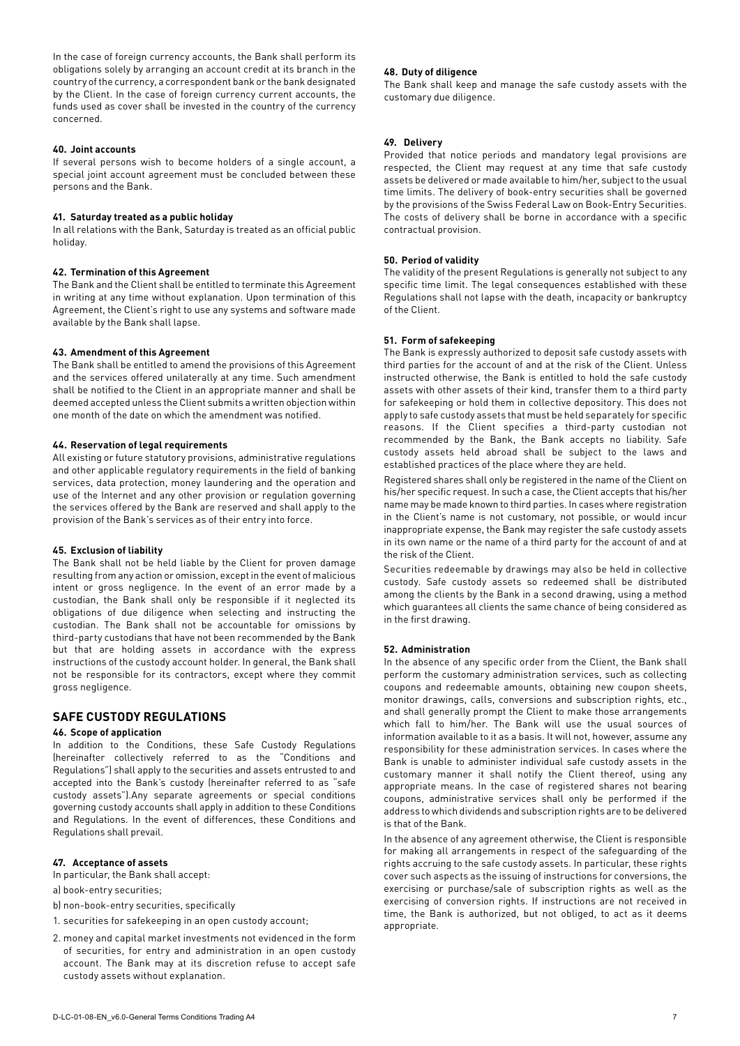In the case of foreign currency accounts, the Bank shall perform its obligations solely by arranging an account credit at its branch in the country of the currency, a correspondent bank or the bank designated by the Client. In the case of foreign currency current accounts, the funds used as cover shall be invested in the country of the currency concerned.

### **40. Joint accounts**

If several persons wish to become holders of a single account, a special joint account agreement must be concluded between these persons and the Bank.

### **41. Saturday treated as a public holiday**

In all relations with the Bank, Saturday is treated as an official public holiday.

# **42. Termination of this Agreement**

The Bank and the Client shall be entitled to terminate this Agreement in writing at any time without explanation. Upon termination of this Agreement, the Client's right to use any systems and software made available by the Bank shall lapse.

# **43. Amendment of this Agreement**

The Bank shall be entitled to amend the provisions of this Agreement and the services offered unilaterally at any time. Such amendment shall be notified to the Client in an appropriate manner and shall be deemed accepted unless the Client submits a written objection within one month of the date on which the amendment was notified.

# **44. Reservation of legal requirements**

All existing or future statutory provisions, administrative regulations and other applicable regulatory requirements in the field of banking services, data protection, money laundering and the operation and use of the Internet and any other provision or regulation governing the services offered by the Bank are reserved and shall apply to the provision of the Bank's services as of their entry into force.

### **45. Exclusion of liability**

The Bank shall not be held liable by the Client for proven damage resulting from any action or omission, except in the event of malicious intent or gross negligence. In the event of an error made by a custodian, the Bank shall only be responsible if it neglected its obligations of due diligence when selecting and instructing the custodian. The Bank shall not be accountable for omissions by third-party custodians that have not been recommended by the Bank but that are holding assets in accordance with the express instructions of the custody account holder. In general, the Bank shall not be responsible for its contractors, except where they commit gross negligence.

# **SAFE CUSTODY REGULATIONS**

# **46. Scope of application**

In addition to the Conditions, these Safe Custody Regulations (hereinafter collectively referred to as the "Conditions and Regulations") shall apply to the securities and assets entrusted to and accepted into the Bank's custody (hereinafter referred to as "safe custody assets").Any separate agreements or special conditions governing custody accounts shall apply in addition to these Conditions and Regulations. In the event of differences, these Conditions and Regulations shall prevail.

# **47. Acceptance of assets**

In particular, the Bank shall accept:

- a) book-entry securities;
- b) non-book-entry securities, specifically
- 1. securities for safekeeping in an open custody account;
- 2. money and capital market investments not evidenced in the form of securities, for entry and administration in an open custody account. The Bank may at its discretion refuse to accept safe custody assets without explanation.

#### **48. Duty of diligence**

The Bank shall keep and manage the safe custody assets with the customary due diligence.

### **49. Delivery**

Provided that notice periods and mandatory legal provisions are respected, the Client may request at any time that safe custody assets be delivered or made available to him/her, subject to the usual time limits. The delivery of book-entry securities shall be governed by the provisions of the Swiss Federal Law on Book-Entry Securities. The costs of delivery shall be borne in accordance with a specific contractual provision.

## **50. Period of validity**

The validity of the present Regulations is generally not subject to any specific time limit. The legal consequences established with these Regulations shall not lapse with the death, incapacity or bankruptcy of the Client.

### **51. Form of safekeeping**

The Bank is expressly authorized to deposit safe custody assets with third parties for the account of and at the risk of the Client. Unless instructed otherwise, the Bank is entitled to hold the safe custody assets with other assets of their kind, transfer them to a third party for safekeeping or hold them in collective depository. This does not apply to safe custody assets that must be held separately for specific reasons. If the Client specifies a third-party custodian not recommended by the Bank, the Bank accepts no liability. Safe custody assets held abroad shall be subject to the laws and established practices of the place where they are held.

Registered shares shall only be registered in the name of the Client on his/her specific request. In such a case, the Client accepts that his/her name may be made known to third parties. In cases where registration in the Client's name is not customary, not possible, or would incur inappropriate expense, the Bank may register the safe custody assets in its own name or the name of a third party for the account of and at the risk of the Client.

Securities redeemable by drawings may also be held in collective custody. Safe custody assets so redeemed shall be distributed among the clients by the Bank in a second drawing, using a method which quarantees all clients the same chance of being considered as in the first drawing.

### **52. Administration**

In the absence of any specific order from the Client, the Bank shall perform the customary administration services, such as collecting coupons and redeemable amounts, obtaining new coupon sheets, monitor drawings, calls, conversions and subscription rights, etc., and shall generally prompt the Client to make those arrangements which fall to him/her. The Bank will use the usual sources of information available to it as a basis. It will not, however, assume any responsibility for these administration services. In cases where the Bank is unable to administer individual safe custody assets in the customary manner it shall notify the Client thereof, using any appropriate means. In the case of registered shares not bearing coupons, administrative services shall only be performed if the address to which dividends and subscription rights are to be delivered is that of the Bank.

In the absence of any agreement otherwise, the Client is responsible for making all arrangements in respect of the safeguarding of the rights accruing to the safe custody assets. In particular, these rights cover such aspects as the issuing of instructions for conversions, the exercising or purchase/sale of subscription rights as well as the exercising of conversion rights. If instructions are not received in time, the Bank is authorized, but not obliged, to act as it deems appropriate.